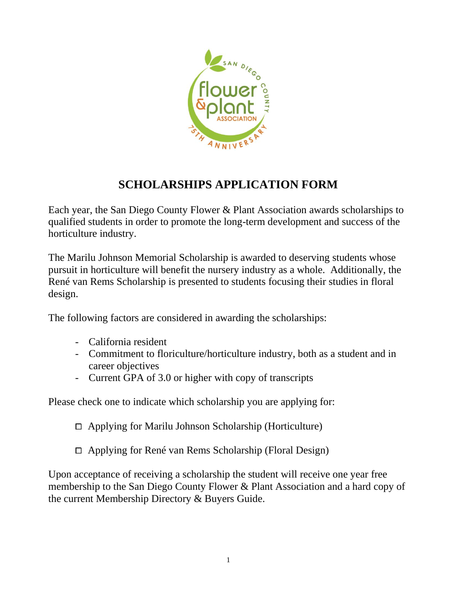

# **SCHOLARSHIPS APPLICATION FORM**

Each year, the San Diego County Flower & Plant Association awards scholarships to qualified students in order to promote the long-term development and success of the horticulture industry.

The Marilu Johnson Memorial Scholarship is awarded to deserving students whose pursuit in horticulture will benefit the nursery industry as a whole. Additionally, the René van Rems Scholarship is presented to students focusing their studies in floral design.

The following factors are considered in awarding the scholarships:

- California resident
- Commitment to floriculture/horticulture industry, both as a student and in career objectives
- Current GPA of 3.0 or higher with copy of transcripts

Please check one to indicate which scholarship you are applying for:

 $\Box$  Applying for Marilu Johnson Scholarship (Horticulture)

⧠ Applying for René van Rems Scholarship (Floral Design)

Upon acceptance of receiving a scholarship the student will receive one year free membership to the San Diego County Flower & Plant Association and a hard copy of the current Membership Directory & Buyers Guide.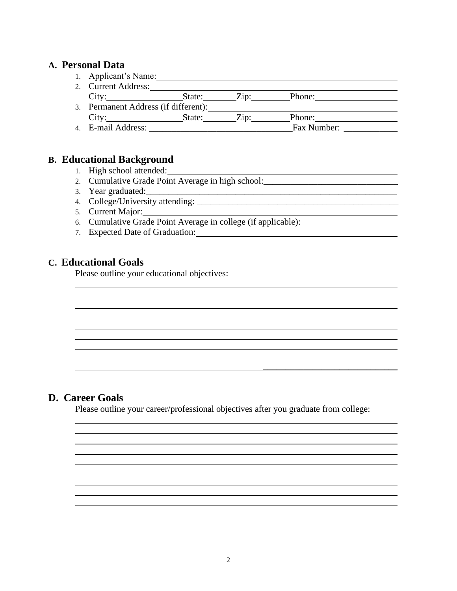## **A. Personal Data**

- 1. Applicant's Name:
- 2. Current Address:

| City               | State:                               | $\angle$ in' | Phone:      |  |
|--------------------|--------------------------------------|--------------|-------------|--|
|                    | 3. Permanent Address (if different): |              |             |  |
| City <sup>·</sup>  | State:                               | $\angle$ in  | Phone:      |  |
| 4. E-mail Address: |                                      |              | Fax Number: |  |

## **B. Educational Background**

- 1. High school attended:
- 2. Cumulative Grade Point Average in high school:
- 3. Year graduated:\_\_\_\_\_\_\_\_\_\_\_\_\_\_\_\_\_\_\_\_\_\_\_\_\_\_\_\_\_\_\_\_\_\_\_\_\_\_\_\_\_\_\_\_\_\_\_\_\_\_\_\_\_\_\_\_
- 4. College/University attending:
- 5. Current Major:
- 6. Cumulative Grade Point Average in college (if applicable):
- 7. Expected Date of Graduation:

## **C. Educational Goals**

Please outline your educational objectives:

## **D. Career Goals**

Please outline your career/professional objectives after you graduate from college: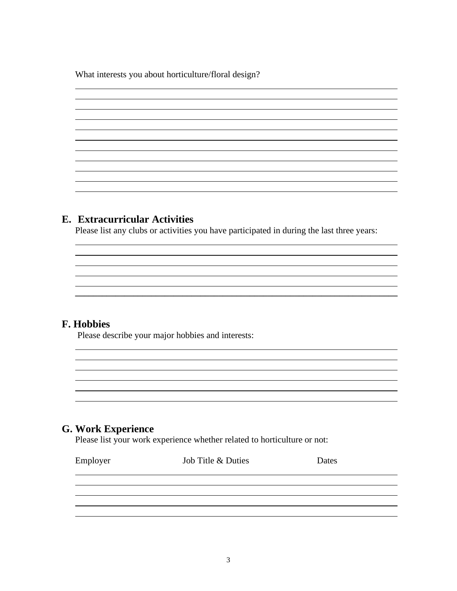What interests you about horticulture/floral design?

## **E. Extracurricular Activities**

Please list any clubs or activities you have participated in during the last three years:

<u> 1980 - Johann Stoff, deutscher Stoffen und der Stoffen und der Stoffen und der Stoffen und der Stoffen und de</u>

## **F. Hobbies**

Please describe your major hobbies and interests:

## **G. Work Experience**

Please list your work experience whether related to horticulture or not:

| Employer | Job Title & Duties | Dates |
|----------|--------------------|-------|
|          |                    |       |
|          |                    |       |
|          |                    |       |
|          |                    |       |